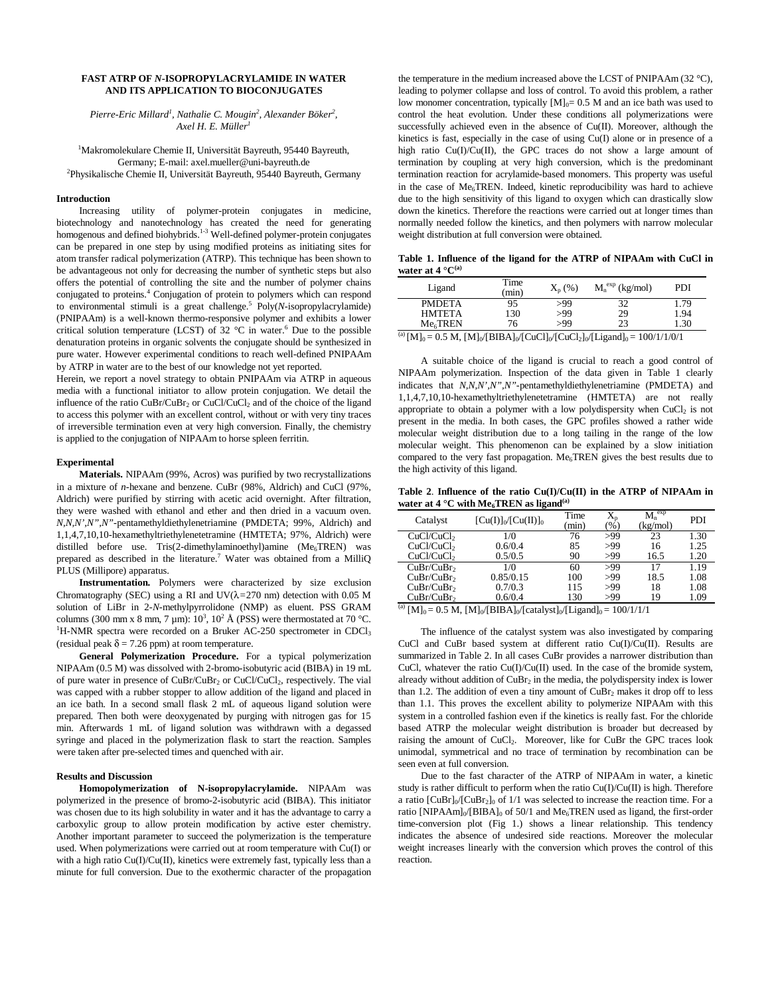## **FAST ATRP OF** *N***-ISOPROPYLACRYLAMIDE IN WATER AND ITS APPLICATION TO BIOCONJUGATES**

Pierre-Eric Millard<sup>1</sup>, Nathalie C. Mougin<sup>2</sup>, Alexander Böker<sup>2</sup>, *Axel H. E. Müller<sup>1</sup>*

1 Makromolekulare Chemie II, Universität Bayreuth, 95440 Bayreuth, Germany; E-mail: axel.mueller@uni-bayreuth.de 2 Physikalische Chemie II, Universität Bayreuth, 95440 Bayreuth, Germany

## **Introduction**

Increasing utility of polymer-protein conjugates in medicine, biotechnology and nanotechnology has created the need for generating homogenous and defined biohybrids.<sup>1-3</sup> Well-defined polymer-protein conjugates can be prepared in one step by using modified proteins as initiating sites for atom transfer radical polymerization (ATRP). This technique has been shown to be advantageous not only for decreasing the number of synthetic steps but also offers the potential of controlling the site and the number of polymer chains conjugated to proteins.<sup>4</sup> Conjugation of protein to polymers which can respond to environmental stimuli is a great challenge.<sup>5</sup> Poly(*N*-isopropylacrylamide) (PNIPAAm) is a well-known thermo-responsive polymer and exhibits a lower critical solution temperature (LCST) of 32  $^{\circ}$ C in water.<sup>6</sup> Due to the possible denaturation proteins in organic solvents the conjugate should be synthesized in pure water. However experimental conditions to reach well-defined PNIPAAm by ATRP in water are to the best of our knowledge not yet reported.

Herein, we report a novel strategy to obtain PNIPAAm via ATRP in aqueous media with a functional initiator to allow protein conjugation. We detail the influence of the ratio  $CuBr/CuBr<sub>2</sub>$  or  $CuCl/CuCl<sub>2</sub>$  and of the choice of the ligand to access this polymer with an excellent control, without or with very tiny traces of irreversible termination even at very high conversion. Finally, the chemistry is applied to the conjugation of NIPAAm to horse spleen ferritin.

# **Experimental**

**Materials.** NIPAAm (99%, Acros) was purified by two recrystallizations in a mixture of *n*-hexane and benzene. CuBr (98%, Aldrich) and CuCl (97%, Aldrich) were purified by stirring with acetic acid overnight. After filtration, they were washed with ethanol and ether and then dried in a vacuum oven. *N,N,N',N",N"*-pentamethyldiethylenetriamine (PMDETA; 99%, Aldrich) and 1,1,4,7,10,10-hexamethyltriethylenetetramine (HMTETA; 97%, Aldrich) were distilled before use. Tris(2-dimethylaminoethyl)amine (Me<sub>6</sub>TREN) was prepared as described in the literature.<sup>7</sup> Water was obtained from a MilliQ PLUS (Millipore) apparatus.

**Instrumentation.** Polymers were characterized by size exclusion Chromatography (SEC) using a RI and UV(λ*=*270 nm) detection with 0.05 M solution of LiBr in 2-*N*-methylpyrrolidone (NMP) as eluent. PSS GRAM columns (300 mm x 8 mm, 7 µm):  $10^3$ ,  $10^2$  Å (PSS) were thermostated at 70 °C.<br><sup>1</sup>H NMB greatra were recorded an a Pryler AC 250 greatramater in CDCl  ${}^{1}$ H-NMR spectra were recorded on a Bruker AC-250 spectrometer in CDCl<sub>3</sub> (residual peak  $\delta$  = 7.26 ppm) at room temperature.

**General Polymerization Procedure.** For a typical polymerization NIPAAm (0.5 M) was dissolved with 2-bromo-isobutyric acid (BIBA) in 19 mL of pure water in presence of CuBr/CuBr<sub>2</sub> or CuCl/CuCl<sub>2</sub>, respectively. The vial was capped with a rubber stopper to allow addition of the ligand and placed in an ice bath. In a second small flask 2 mL of aqueous ligand solution were prepared. Then both were deoxygenated by purging with nitrogen gas for 15 min. Afterwards 1 mL of ligand solution was withdrawn with a degassed syringe and placed in the polymerization flask to start the reaction. Samples were taken after pre-selected times and quenched with air.

## **Results and Discussion**

**Homopolymerization of N-isopropylacrylamide.** NIPAAm was polymerized in the presence of bromo-2-isobutyric acid (BIBA). This initiator was chosen due to its high solubility in water and it has the advantage to carry a carboxylic group to allow protein modification by active ester chemistry. Another important parameter to succeed the polymerization is the temperature used. When polymerizations were carried out at room temperature with Cu(I) or with a high ratio Cu(I)/Cu(II), kinetics were extremely fast, typically less than a minute for full conversion. Due to the exothermic character of the propagation

the temperature in the medium increased above the LCST of PNIPAAm  $(32 \text{ °C})$ , leading to polymer collapse and loss of control. To avoid this problem, a rather low monomer concentration, typically  $[M]_0 = 0.5$  M and an ice bath was used to control the heat evolution. Under these conditions all polymerizations were successfully achieved even in the absence of Cu(II). Moreover, although the kinetics is fast, especially in the case of using Cu(I) alone or in presence of a high ratio Cu(I)/Cu(II), the GPC traces do not show a large amount of termination by coupling at very high conversion, which is the predominant termination reaction for acrylamide-based monomers. This property was useful in the case of  $Me<sub>6</sub>TREN$ . Indeed, kinetic reproducibility was hard to achieve due to the high sensitivity of this ligand to oxygen which can drastically slow down the kinetics. Therefore the reactions were carried out at longer times than normally needed follow the kinetics, and then polymers with narrow molecular weight distribution at full conversion were obtained.

**Table 1. Influence of the ligand for the ATRP of NIPAAm with CuCl in water at 4 °C(a)**

| Ligand                                                                                                               | Time<br>(min) | $X_p$ (%) | $M_n^{exp}$ (kg/mol) | PDI  |  |  |
|----------------------------------------------------------------------------------------------------------------------|---------------|-----------|----------------------|------|--|--|
| <b>PMDETA</b>                                                                                                        | 95            | >99       | 32                   | 1.79 |  |  |
| <b>HMTETA</b>                                                                                                        | 130           | >99       | 29                   | 1.94 |  |  |
| Me <sub>6</sub> TREN                                                                                                 | 76            | >99       | 23                   | 1.30 |  |  |
| $(a)$ $\Gamma$ <sub>1</sub> $\Gamma$ <sub>1</sub><br>$-0.5 M$ IM (EDID A1 (CuCl) (CuCl) I (Historical $-100/1/1/0/1$ |               |           |                      |      |  |  |

 $[M]_0 = 0.5 M$ ,  $[M]_0/[BIBA]_0/[CuCl]_0/[CuCl_2]_0/[Ligand]_0 = 100/1/1/0/1$ 

A suitable choice of the ligand is crucial to reach a good control of NIPAAm polymerization. Inspection of the data given in Table 1 clearly indicates that *N,N,N',N",N"*-pentamethyldiethylenetriamine (PMDETA) and 1,1,4,7,10,10-hexamethyltriethylenetetramine (HMTETA) are not really appropriate to obtain a polymer with a low polydispersity when  $CuCl<sub>2</sub>$  is not present in the media. In both cases, the GPC profiles showed a rather wide molecular weight distribution due to a long tailing in the range of the low molecular weight. This phenomenon can be explained by a slow initiation compared to the very fast propagation. Me6TREN gives the best results due to the high activity of this ligand.

**Table 2**. **Influence of the ratio Cu(I)/Cu(II) in the ATRP of NIPAAm in**  water at  $4^{\circ}$ C with Me<sub>6</sub>TREN as ligand<sup>(a)</sup>

| Catalyst               | $[Cu(I)]_0/[Cu(II)]_0$ | Time<br>(min) | $X_{p}$<br>(%) | $M_n^{exp}$<br>(kg/mol) | PDI  |
|------------------------|------------------------|---------------|----------------|-------------------------|------|
| CuCl/CuCl <sub>2</sub> | 1/0                    | 76            | >99            | 23                      | 1.30 |
| CuCl/CuCl <sub>2</sub> | 0.6/0.4                | 85            | >99            | 16                      | 1.25 |
| CuCl/CuCl <sub>2</sub> | 0.5/0.5                | 90            | >99            | 16.5                    | 1.20 |
| CuBr/CuBr <sub>2</sub> | 1/0                    | 60            | >99            | 17                      | 1.19 |
| CuBr/CuBr <sub>2</sub> | 0.85/0.15              | 100           | >99            | 18.5                    | 1.08 |
| CuBr/CuBr <sub>2</sub> | 0.7/0.3                | 115           | >99            | 18                      | 1.08 |
| CuBr/CuBr <sub>2</sub> | 0.6/0.4                | 130           | >99            | 19                      | 1.09 |

<sup>(a)</sup> [M]<sub>0</sub> = 0.5 M, [M]<sub>0</sub>/[BIBA]<sub>0</sub>/[catalyst]<sub>0</sub>/[Ligand]<sub>0</sub> = 100/1/1/1

The influence of the catalyst system was also investigated by comparing CuCl and CuBr based system at different ratio Cu(I)/Cu(II). Results are summarized in Table 2. In all cases CuBr provides a narrower distribution than CuCl, whatever the ratio  $Cu(I)/Cu(II)$  used. In the case of the bromide system, already without addition of  $CuBr<sub>2</sub>$  in the media, the polydispersity index is lower than 1.2. The addition of even a tiny amount of  $CuBr<sub>2</sub>$  makes it drop off to less than 1.1. This proves the excellent ability to polymerize NIPAAm with this system in a controlled fashion even if the kinetics is really fast. For the chloride based ATRP the molecular weight distribution is broader but decreased by raising the amount of CuCl<sub>2</sub>. Moreover, like for CuBr the GPC traces look unimodal, symmetrical and no trace of termination by recombination can be seen even at full conversion.

Due to the fast character of the ATRP of NIPAAm in water, a kinetic study is rather difficult to perform when the ratio Cu(I)/Cu(II) is high. Therefore a ratio  $\text{[CuBr]}_{0}/\text{[CuBr]}_{2}\text{]}$  of 1/1 was selected to increase the reaction time. For a ratio [NIPAAm] $_0$ /[BIBA] $_0$  of 50/1 and Me $_6$ TREN used as ligand, the first-order time-conversion plot (Fig 1.) shows a linear relationship. This tendency indicates the absence of undesired side reactions. Moreover the molecular weight increases linearly with the conversion which proves the control of this reaction.